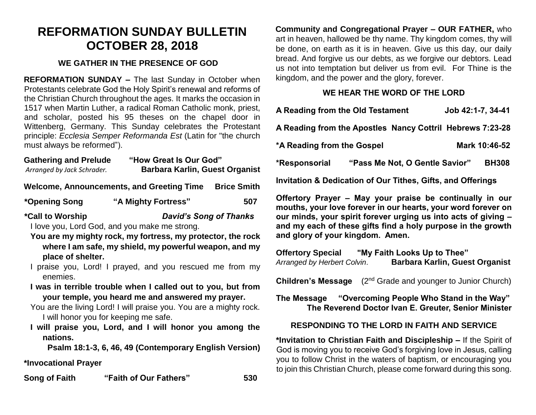# **REFORMATION SUNDAY BULLETIN OCTOBER 28, 2018**

### **WE GATHER IN THE PRESENCE OF GOD**

**REFORMATION SUNDAY –** The last Sunday in October when Protestants celebrate God the Holy Spirit's renewal and reforms of the Christian Church throughout the ages. It marks the occasion in 1517 when Martin Luther, a radical Roman Catholic monk, priest, and scholar, posted his 95 theses on the chapel door in Wittenberg, Germany. This Sunday celebrates the Protestant principle: *Ecclesia Semper Reformanda Est* (Latin for "the church must always be reformed").

| <b>Gathering and Prelude</b> | "How Great Is Our God"                |
|------------------------------|---------------------------------------|
| Arranged by Jack Schrader.   | <b>Barbara Karlin, Guest Organist</b> |

Welcome, Announcements, and Greeting Time Brice Smith

**\*Opening Song "A Mighty Fortress" 507**

**\*Call to Worship** *David's Song of Thanks*

I love you, Lord God, and you make me strong.

- **You are my mighty rock, my fortress, my protector, the rock where I am safe, my shield, my powerful weapon, and my place of shelter.**
- I praise you, Lord! I prayed, and you rescued me from my enemies.
- **I was in terrible trouble when I called out to you, but from your temple, you heard me and answered my prayer.**

You are the living Lord! I will praise you. You are a mighty rock. I will honor you for keeping me safe.

**I will praise you, Lord, and I will honor you among the nations.**

**Psalm 18:1-3, 6, 46, 49 (Contemporary English Version)**

# **\*Invocational Prayer**

**Song of Faith "Faith of Our Fathers" 530**

**Community and Congregational Prayer – OUR FATHER,** who art in heaven, hallowed be thy name. Thy kingdom comes, thy will be done, on earth as it is in heaven. Give us this day, our daily bread. And forgive us our debts, as we forgive our debtors. Lead us not into temptation but deliver us from evil. For Thine is the kingdom, and the power and the glory, forever.

# **WE HEAR THE WORD OF THE LORD**

| A Reading from the Old Testament                                       |  |                                | Job 42:1-7, 34-41 |               |
|------------------------------------------------------------------------|--|--------------------------------|-------------------|---------------|
| A Reading from the Apostles Nancy Cottril Hebrews 7:23-28              |  |                                |                   |               |
| *A Reading from the Gospel                                             |  |                                |                   | Mark 10:46-52 |
| *Responsorial                                                          |  | "Pass Me Not, O Gentle Savior" |                   | <b>BH308</b>  |
| <b>Invitation &amp; Dedication of Our Tithes, Gifts, and Offerings</b> |  |                                |                   |               |

**Offertory Prayer – May your praise be continually in our mouths, your love forever in our hearts, your word forever on our minds, your spirit forever urging us into acts of giving – and my each of these gifts find a holy purpose in the growth and glory of your kingdom. Amen.** 

**Offertory Special "My Faith Looks Up to Thee"**  *Arranged by Herbert Colvin*. **Barbara Karlin, Guest Organist**

**Children's Message** (2<sup>nd</sup> Grade and younger to Junior Church)

**The Message "Overcoming People Who Stand in the Way" The Reverend Doctor Ivan E. Greuter, Senior Minister**

# **RESPONDING TO THE LORD IN FAITH AND SERVICE**

**\*Invitation to Christian Faith and Discipleship –** If the Spirit of God is moving you to receive God's forgiving love in Jesus, calling you to follow Christ in the waters of baptism, or encouraging you to join this Christian Church, please come forward during this song.